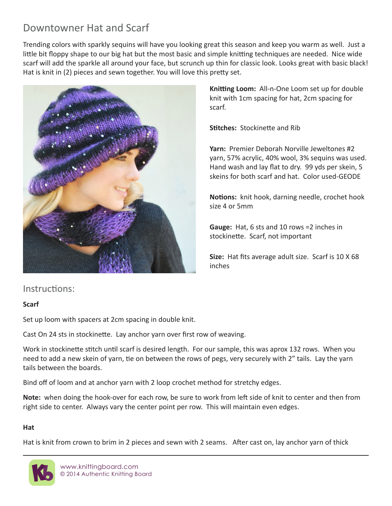# Downtowner Hat and Scarf

Trending colors with sparkly sequins will have you looking great this season and keep you warm as well. Just a little bit floppy shape to our big hat but the most basic and simple knitting techniques are needed. Nice wide scarf will add the sparkle all around your face, but scrunch up thin for classic look. Looks great with basic black! Hat is knit in (2) pieces and sewn together. You will love this pretty set.



**Knitting Loom:** All-n-One Loom set up for double knit with 1cm spacing for hat, 2cm spacing for scarf.

**Stitches:** Stockinette and Rib

**Yarn:** Premier Deborah Norville Jeweltones #2 yarn, 57% acrylic, 40% wool, 3% sequins was used. Hand wash and lay flat to dry. 99 yds per skein, 5 skeins for both scarf and hat. Color used-GEODE

**Notions:** knit hook, darning needle, crochet hook size 4 or 5mm

**Gauge:** Hat, 6 sts and 10 rows =2 inches in stockinette. Scarf, not important

**Size:** Hat fits average adult size. Scarf is 10 X 68 inches

## Instructions:

#### **Scarf**

Set up loom with spacers at 2cm spacing in double knit.

Cast On 24 sts in stockinette. Lay anchor yarn over first row of weaving.

Work in stockinette stitch until scarf is desired length. For our sample, this was aprox 132 rows. When you need to add a new skein of yarn, tie on between the rows of pegs, very securely with 2" tails. Lay the yarn tails between the boards.

Bind off of loom and at anchor yarn with 2 loop crochet method for stretchy edges.

**Note:** when doing the hook-over for each row, be sure to work from left side of knit to center and then from right side to center. Always vary the center point per row. This will maintain even edges.

#### **Hat**

Hat is knit from crown to brim in 2 pieces and sewn with 2 seams. After cast on, lay anchor yarn of thick